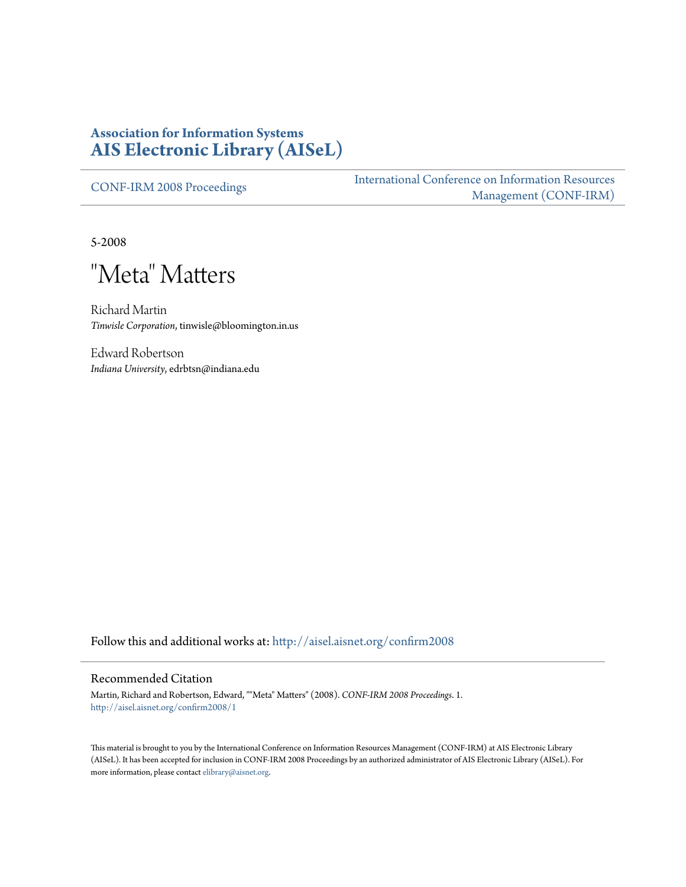#### **Association for Information Systems [AIS Electronic Library \(AISeL\)](http://aisel.aisnet.org?utm_source=aisel.aisnet.org%2Fconfirm2008%2F1&utm_medium=PDF&utm_campaign=PDFCoverPages)**

[CONF-IRM 2008 Proceedings](http://aisel.aisnet.org/confirm2008?utm_source=aisel.aisnet.org%2Fconfirm2008%2F1&utm_medium=PDF&utm_campaign=PDFCoverPages)

[International Conference on Information Resources](http://aisel.aisnet.org/conf-irm?utm_source=aisel.aisnet.org%2Fconfirm2008%2F1&utm_medium=PDF&utm_campaign=PDFCoverPages) [Management \(CONF-IRM\)](http://aisel.aisnet.org/conf-irm?utm_source=aisel.aisnet.org%2Fconfirm2008%2F1&utm_medium=PDF&utm_campaign=PDFCoverPages)

5-2008

"Meta" Matters

Richard Martin *Tinwisle Corporation*, tinwisle@bloomington.in.us

Edward Robertson *Indiana University*, edrbtsn@indiana.edu

Follow this and additional works at: [http://aisel.aisnet.org/confirm2008](http://aisel.aisnet.org/confirm2008?utm_source=aisel.aisnet.org%2Fconfirm2008%2F1&utm_medium=PDF&utm_campaign=PDFCoverPages)

#### Recommended Citation

Martin, Richard and Robertson, Edward, ""Meta" Matters" (2008). *CONF-IRM 2008 Proceedings*. 1. [http://aisel.aisnet.org/confirm2008/1](http://aisel.aisnet.org/confirm2008/1?utm_source=aisel.aisnet.org%2Fconfirm2008%2F1&utm_medium=PDF&utm_campaign=PDFCoverPages)

This material is brought to you by the International Conference on Information Resources Management (CONF-IRM) at AIS Electronic Library (AISeL). It has been accepted for inclusion in CONF-IRM 2008 Proceedings by an authorized administrator of AIS Electronic Library (AISeL). For more information, please contact [elibrary@aisnet.org.](mailto:elibrary@aisnet.org%3E)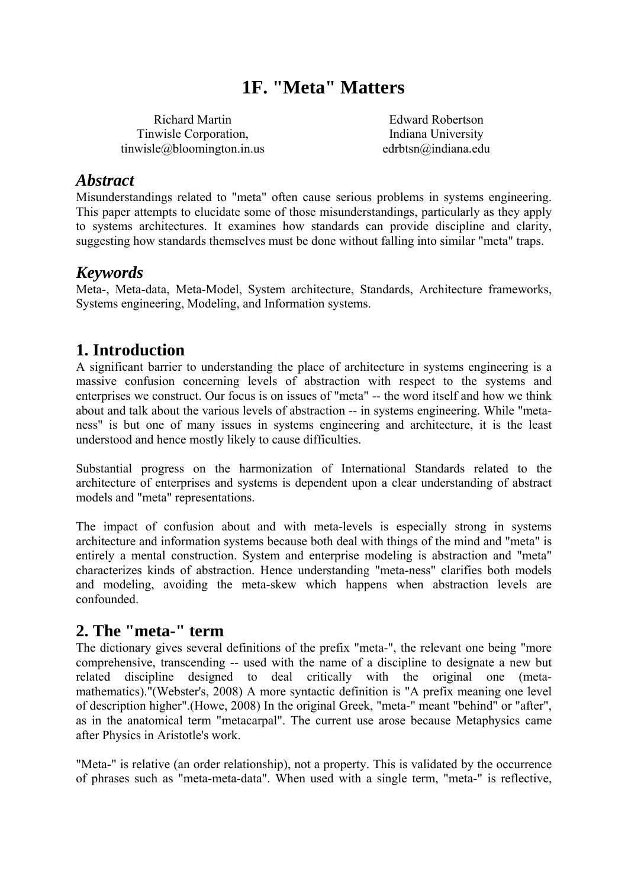# **1F. "Meta" Matters**

Richard Martin Tinwisle Corporation, tinwisle@bloomington.in.us

Edward Robertson Indiana University edrbtsn@indiana.edu

#### *Abstract*

Misunderstandings related to "meta" often cause serious problems in systems engineering. This paper attempts to elucidate some of those misunderstandings, particularly as they apply to systems architectures. It examines how standards can provide discipline and clarity, suggesting how standards themselves must be done without falling into similar "meta" traps.

### *Keywords*

Meta-, Meta-data, Meta-Model, System architecture, Standards, Architecture frameworks, Systems engineering, Modeling, and Information systems.

# **1. Introduction**

A significant barrier to understanding the place of architecture in systems engineering is a massive confusion concerning levels of abstraction with respect to the systems and enterprises we construct. Our focus is on issues of "meta" -- the word itself and how we think about and talk about the various levels of abstraction -- in systems engineering. While "metaness" is but one of many issues in systems engineering and architecture, it is the least understood and hence mostly likely to cause difficulties.

Substantial progress on the harmonization of International Standards related to the architecture of enterprises and systems is dependent upon a clear understanding of abstract models and "meta" representations.

The impact of confusion about and with meta-levels is especially strong in systems architecture and information systems because both deal with things of the mind and "meta" is entirely a mental construction. System and enterprise modeling is abstraction and "meta" characterizes kinds of abstraction. Hence understanding "meta-ness" clarifies both models and modeling, avoiding the meta-skew which happens when abstraction levels are confounded.

#### **2. The "meta-" term**

The dictionary gives several definitions of the prefix "meta-", the relevant one being "more comprehensive, transcending -- used with the name of a discipline to designate a new but related discipline designed to deal critically with the original one (metamathematics)."(Webster's, 2008) A more syntactic definition is "A prefix meaning one level of description higher".(Howe, 2008) In the original Greek, "meta-" meant "behind" or "after", as in the anatomical term "metacarpal". The current use arose because Metaphysics came after Physics in Aristotle's work.

"Meta-" is relative (an order relationship), not a property. This is validated by the occurrence of phrases such as "meta-meta-data". When used with a single term, "meta-" is reflective,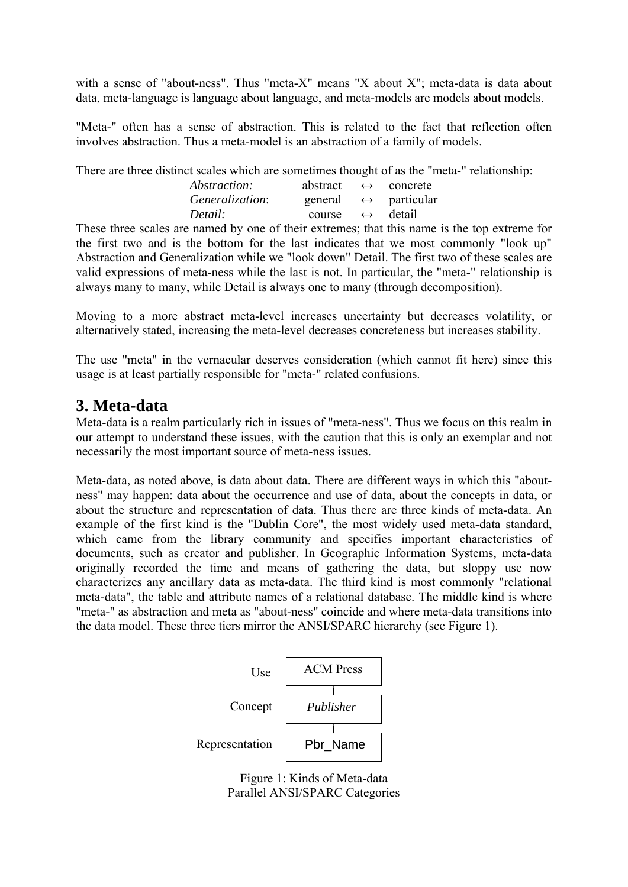with a sense of "about-ness". Thus "meta-X" means "X about X"; meta-data is data about data, meta-language is language about language, and meta-models are models about models.

"Meta-" often has a sense of abstraction. This is related to the fact that reflection often involves abstraction. Thus a meta-model is an abstraction of a family of models.

There are three distinct scales which are sometimes thought of as the "meta-" relationship:

| <i>Abstraction:</i> | abstract                 | $\leftrightarrow$ | concrete                             |
|---------------------|--------------------------|-------------------|--------------------------------------|
| Generalization:     |                          |                   | general $\leftrightarrow$ particular |
| Detail:             | course $\leftrightarrow$ |                   | detail                               |

These three scales are named by one of their extremes; that this name is the top extreme for the first two and is the bottom for the last indicates that we most commonly "look up" Abstraction and Generalization while we "look down" Detail. The first two of these scales are valid expressions of meta-ness while the last is not. In particular, the "meta-" relationship is always many to many, while Detail is always one to many (through decomposition).

Moving to a more abstract meta-level increases uncertainty but decreases volatility, or alternatively stated, increasing the meta-level decreases concreteness but increases stability.

The use "meta" in the vernacular deserves consideration (which cannot fit here) since this usage is at least partially responsible for "meta-" related confusions.

### **3. Meta-data**

Meta-data is a realm particularly rich in issues of "meta-ness". Thus we focus on this realm in our attempt to understand these issues, with the caution that this is only an exemplar and not necessarily the most important source of meta-ness issues.

Meta-data, as noted above, is data about data. There are different ways in which this "aboutness" may happen: data about the occurrence and use of data, about the concepts in data, or about the structure and representation of data. Thus there are three kinds of meta-data. An example of the first kind is the "Dublin Core", the most widely used meta-data standard, which came from the library community and specifies important characteristics of documents, such as creator and publisher. In Geographic Information Systems, meta-data originally recorded the time and means of gathering the data, but sloppy use now characterizes any ancillary data as meta-data. The third kind is most commonly "relational meta-data", the table and attribute names of a relational database. The middle kind is where "meta-" as abstraction and meta as "about-ness" coincide and where meta-data transitions into the data model. These three tiers mirror the ANSI/SPARC hierarchy (see Figure 1).



Figure 1: Kinds of Meta-data Parallel ANSI/SPARC Categories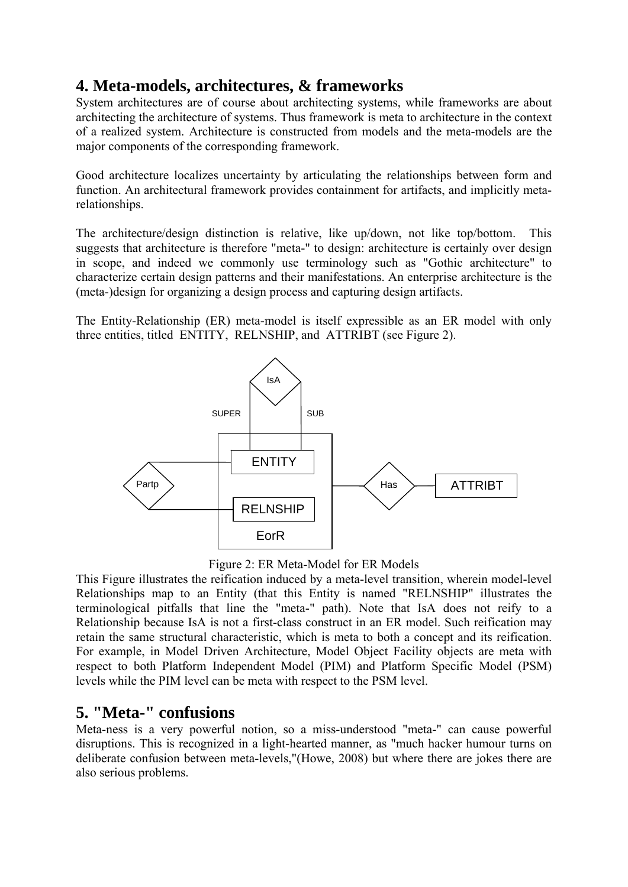# **4. Meta-models, architectures, & frameworks**

System architectures are of course about architecting systems, while frameworks are about architecting the architecture of systems. Thus framework is meta to architecture in the context of a realized system. Architecture is constructed from models and the meta-models are the major components of the corresponding framework.

Good architecture localizes uncertainty by articulating the relationships between form and function. An architectural framework provides containment for artifacts, and implicitly metarelationships.

The architecture/design distinction is relative, like up/down, not like top/bottom. This suggests that architecture is therefore "meta-" to design: architecture is certainly over design in scope, and indeed we commonly use terminology such as "Gothic architecture" to characterize certain design patterns and their manifestations. An enterprise architecture is the (meta-)design for organizing a design process and capturing design artifacts.

The Entity-Relationship (ER) meta-model is itself expressible as an ER model with only three entities, titled ENTITY, RELNSHIP, and ATTRIBT (see Figure 2).



Figure 2: ER Meta-Model for ER Models

This Figure illustrates the reification induced by a meta-level transition, wherein model-level Relationships map to an Entity (that this Entity is named "RELNSHIP" illustrates the terminological pitfalls that line the "meta-" path). Note that IsA does not reify to a Relationship because IsA is not a first-class construct in an ER model. Such reification may retain the same structural characteristic, which is meta to both a concept and its reification. For example, in Model Driven Architecture, Model Object Facility objects are meta with respect to both Platform Independent Model (PIM) and Platform Specific Model (PSM) levels while the PIM level can be meta with respect to the PSM level.

## **5. "Meta-" confusions**

Meta-ness is a very powerful notion, so a miss-understood "meta-" can cause powerful disruptions. This is recognized in a light-hearted manner, as "much hacker humour turns on deliberate confusion between meta-levels,"(Howe, 2008) but where there are jokes there are also serious problems.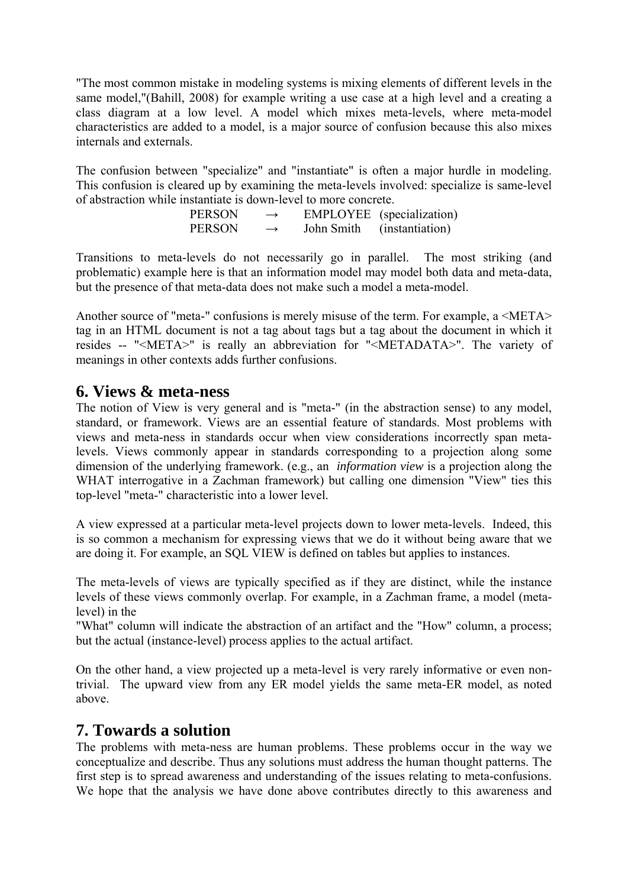"The most common mistake in modeling systems is mixing elements of different levels in the same model,"(Bahill, 2008) for example writing a use case at a high level and a creating a class diagram at a low level. A model which mixes meta-levels, where meta-model characteristics are added to a model, is a major source of confusion because this also mixes internals and externals.

The confusion between "specialize" and "instantiate" is often a major hurdle in modeling. This confusion is cleared up by examining the meta-levels involved: specialize is same-level of abstraction while instantiate is down-level to more concrete.

 $PERSON \rightarrow EMPLOYEE$  (specialization)  $PERSON \rightarrow$  John Smith (instantiation)

Transitions to meta-levels do not necessarily go in parallel. The most striking (and problematic) example here is that an information model may model both data and meta-data, but the presence of that meta-data does not make such a model a meta-model.

Another source of "meta-" confusions is merely misuse of the term. For example, a <META> tag in an HTML document is not a tag about tags but a tag about the document in which it resides -- "<META>" is really an abbreviation for "<METADATA>". The variety of meanings in other contexts adds further confusions.

#### **6. Views & meta-ness**

The notion of View is very general and is "meta-" (in the abstraction sense) to any model, standard, or framework. Views are an essential feature of standards. Most problems with views and meta-ness in standards occur when view considerations incorrectly span metalevels. Views commonly appear in standards corresponding to a projection along some dimension of the underlying framework. (e.g., an *information view* is a projection along the WHAT interrogative in a Zachman framework) but calling one dimension "View" ties this top-level "meta-" characteristic into a lower level.

A view expressed at a particular meta-level projects down to lower meta-levels. Indeed, this is so common a mechanism for expressing views that we do it without being aware that we are doing it. For example, an SQL VIEW is defined on tables but applies to instances.

The meta-levels of views are typically specified as if they are distinct, while the instance levels of these views commonly overlap. For example, in a Zachman frame, a model (metalevel) in the

"What" column will indicate the abstraction of an artifact and the "How" column, a process; but the actual (instance-level) process applies to the actual artifact.

On the other hand, a view projected up a meta-level is very rarely informative or even nontrivial. The upward view from any ER model yields the same meta-ER model, as noted above.

#### **7. Towards a solution**

The problems with meta-ness are human problems. These problems occur in the way we conceptualize and describe. Thus any solutions must address the human thought patterns. The first step is to spread awareness and understanding of the issues relating to meta-confusions. We hope that the analysis we have done above contributes directly to this awareness and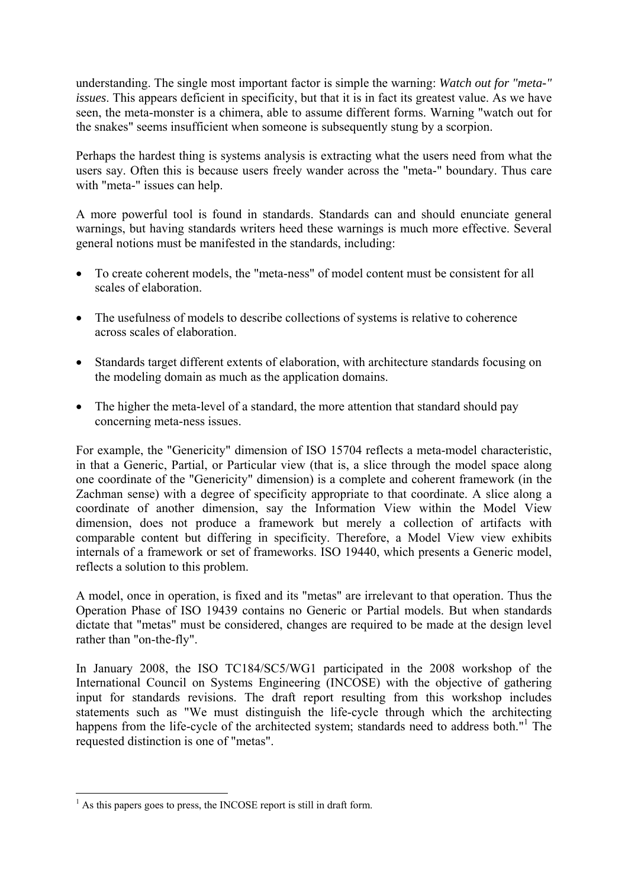understanding. The single most important factor is simple the warning: *Watch out for "meta-" issues*. This appears deficient in specificity, but that it is in fact its greatest value. As we have seen, the meta-monster is a chimera, able to assume different forms. Warning "watch out for the snakes" seems insufficient when someone is subsequently stung by a scorpion.

Perhaps the hardest thing is systems analysis is extracting what the users need from what the users say. Often this is because users freely wander across the "meta-" boundary. Thus care with "meta-" issues can help.

A more powerful tool is found in standards. Standards can and should enunciate general warnings, but having standards writers heed these warnings is much more effective. Several general notions must be manifested in the standards, including:

- To create coherent models, the "meta-ness" of model content must be consistent for all scales of elaboration.
- The usefulness of models to describe collections of systems is relative to coherence across scales of elaboration.
- Standards target different extents of elaboration, with architecture standards focusing on the modeling domain as much as the application domains.
- The higher the meta-level of a standard, the more attention that standard should pay concerning meta-ness issues.

For example, the "Genericity" dimension of ISO 15704 reflects a meta-model characteristic, in that a Generic, Partial, or Particular view (that is, a slice through the model space along one coordinate of the "Genericity" dimension) is a complete and coherent framework (in the Zachman sense) with a degree of specificity appropriate to that coordinate. A slice along a coordinate of another dimension, say the Information View within the Model View dimension, does not produce a framework but merely a collection of artifacts with comparable content but differing in specificity. Therefore, a Model View view exhibits internals of a framework or set of frameworks. ISO 19440, which presents a Generic model, reflects a solution to this problem.

A model, once in operation, is fixed and its "metas" are irrelevant to that operation. Thus the Operation Phase of ISO 19439 contains no Generic or Partial models. But when standards dictate that "metas" must be considered, changes are required to be made at the design level rather than "on-the-fly".

In January 2008, the ISO TC184/SC5/WG1 participated in the 2008 workshop of the International Council on Systems Engineering (INCOSE) with the objective of gathering input for standards revisions. The draft report resulting from this workshop includes statements such as "We must distinguish the life-cycle through which the architecting happens from the life-cycle of the architected system; standards need to address both."<sup>1</sup> The requested distinction is one of "metas".

<sup>&</sup>lt;sup>1</sup> As this papers goes to press, the INCOSE report is still in draft form.